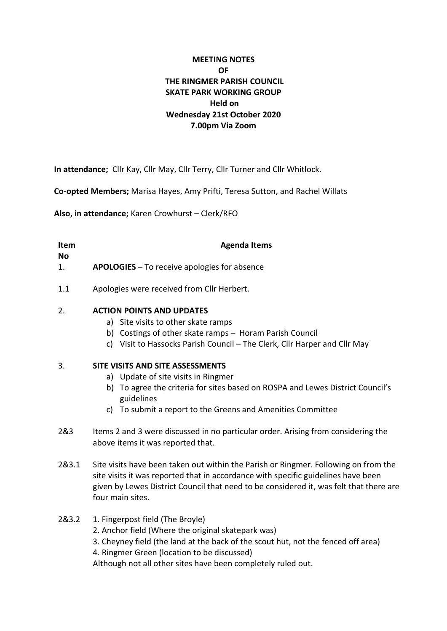# **MEETING NOTES OF THE RINGMER PARISH COUNCIL SKATE PARK WORKING GROUP Held on Wednesday 21st October 2020 7.00pm Via Zoom**

**In attendance;** Cllr Kay, Cllr May, Cllr Terry, Cllr Turner and Cllr Whitlock.

**Co-opted Members;** Marisa Hayes, Amy Prifti, Teresa Sutton, and Rachel Willats

**Also, in attendance;** Karen Crowhurst – Clerk/RFO

| <b>Item</b><br>No | <b>Agenda Items</b>                                 |
|-------------------|-----------------------------------------------------|
| 1.                | <b>APOLOGIES</b> – To receive apologies for absence |
| 1.1               | Apologies were received from Cllr Herbert.          |

## 2. **ACTION POINTS AND UPDATES**

- a) Site visits to other skate ramps
- b) Costings of other skate ramps Horam Parish Council
- c) Visit to Hassocks Parish Council The Clerk, Cllr Harper and Cllr May

## 3. **SITE VISITS AND SITE ASSESSMENTS**

- a) Update of site visits in Ringmer
- b) To agree the criteria for sites based on ROSPA and Lewes District Council's guidelines
- c) To submit a report to the Greens and Amenities Committee
- 2&3 Items 2 and 3 were discussed in no particular order. Arising from considering the above items it was reported that.
- 2&3.1 Site visits have been taken out within the Parish or Ringmer. Following on from the site visits it was reported that in accordance with specific guidelines have been given by Lewes District Council that need to be considered it, was felt that there are four main sites.
- 2&3.2 1. Fingerpost field (The Broyle)
	- 2. Anchor field (Where the original skatepark was)
	- 3. Cheyney field (the land at the back of the scout hut, not the fenced off area) 4. Ringmer Green (location to be discussed)

Although not all other sites have been completely ruled out.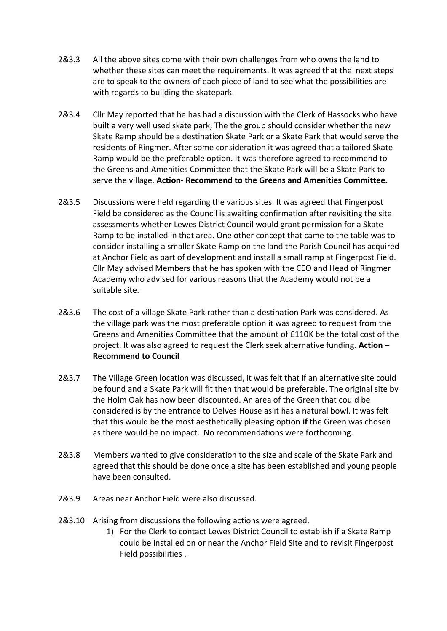- 2&3.3 All the above sites come with their own challenges from who owns the land to whether these sites can meet the requirements. It was agreed that the next steps are to speak to the owners of each piece of land to see what the possibilities are with regards to building the skatepark.
- 2&3.4 Cllr May reported that he has had a discussion with the Clerk of Hassocks who have built a very well used skate park, The the group should consider whether the new Skate Ramp should be a destination Skate Park or a Skate Park that would serve the residents of Ringmer. After some consideration it was agreed that a tailored Skate Ramp would be the preferable option. It was therefore agreed to recommend to the Greens and Amenities Committee that the Skate Park will be a Skate Park to serve the village. **Action- Recommend to the Greens and Amenities Committee.**
- 2&3.5 Discussions were held regarding the various sites. It was agreed that Fingerpost Field be considered as the Council is awaiting confirmation after revisiting the site assessments whether Lewes District Council would grant permission for a Skate Ramp to be installed in that area. One other concept that came to the table was to consider installing a smaller Skate Ramp on the land the Parish Council has acquired at Anchor Field as part of development and install a small ramp at Fingerpost Field. Cllr May advised Members that he has spoken with the CEO and Head of Ringmer Academy who advised for various reasons that the Academy would not be a suitable site.
- 2&3.6 The cost of a village Skate Park rather than a destination Park was considered. As the village park was the most preferable option it was agreed to request from the Greens and Amenities Committee that the amount of £110K be the total cost of the project. It was also agreed to request the Clerk seek alternative funding. **Action – Recommend to Council**
- 2&3.7 The Village Green location was discussed, it was felt that if an alternative site could be found and a Skate Park will fit then that would be preferable. The original site by the Holm Oak has now been discounted. An area of the Green that could be considered is by the entrance to Delves House as it has a natural bowl. It was felt that this would be the most aesthetically pleasing option **if** the Green was chosen as there would be no impact. No recommendations were forthcoming.
- 2&3.8 Members wanted to give consideration to the size and scale of the Skate Park and agreed that this should be done once a site has been established and young people have been consulted.
- 2&3.9 Areas near Anchor Field were also discussed.
- 2&3.10 Arising from discussions the following actions were agreed.
	- 1) For the Clerk to contact Lewes District Council to establish if a Skate Ramp could be installed on or near the Anchor Field Site and to revisit Fingerpost Field possibilities .